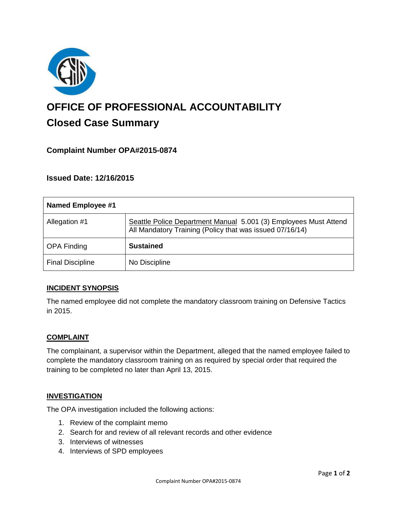

# **OFFICE OF PROFESSIONAL ACCOUNTABILITY Closed Case Summary**

# **Complaint Number OPA#2015-0874**

**Issued Date: 12/16/2015**

| Named Employee #1       |                                                                                                                              |
|-------------------------|------------------------------------------------------------------------------------------------------------------------------|
| Allegation #1           | Seattle Police Department Manual 5.001 (3) Employees Must Attend<br>All Mandatory Training (Policy that was issued 07/16/14) |
| <b>OPA Finding</b>      | <b>Sustained</b>                                                                                                             |
| <b>Final Discipline</b> | No Discipline                                                                                                                |

## **INCIDENT SYNOPSIS**

The named employee did not complete the mandatory classroom training on Defensive Tactics in 2015.

## **COMPLAINT**

The complainant, a supervisor within the Department, alleged that the named employee failed to complete the mandatory classroom training on as required by special order that required the training to be completed no later than April 13, 2015.

#### **INVESTIGATION**

The OPA investigation included the following actions:

- 1. Review of the complaint memo
- 2. Search for and review of all relevant records and other evidence
- 3. Interviews of witnesses
- 4. Interviews of SPD employees